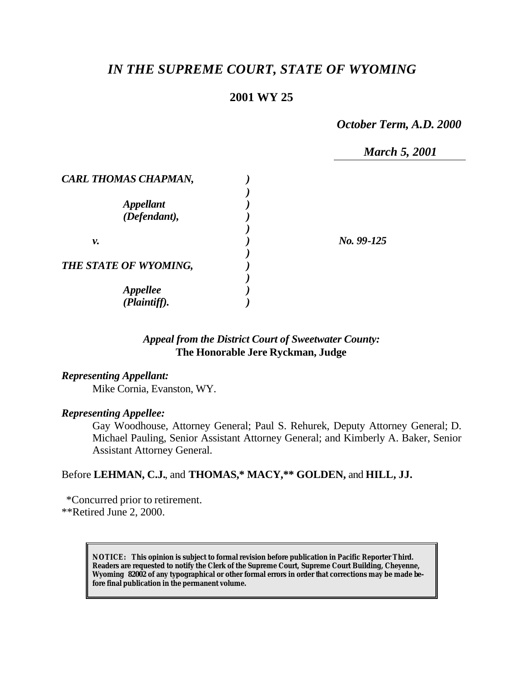# *IN THE SUPREME COURT, STATE OF WYOMING*

### **2001 WY 25**

*October Term, A.D. 2000*

*March 5, 2001*

| No. 99-125 |
|------------|
|            |
|            |
|            |

### *Appeal from the District Court of Sweetwater County:* **The Honorable Jere Ryckman, Judge**

#### *Representing Appellant:*

Mike Cornia, Evanston, WY.

#### *Representing Appellee:*

Gay Woodhouse, Attorney General; Paul S. Rehurek, Deputy Attorney General; D. Michael Pauling, Senior Assistant Attorney General; and Kimberly A. Baker, Senior Assistant Attorney General.

### Before **LEHMAN, C.J.**, and **THOMAS,\* MACY,\*\* GOLDEN,** and **HILL, JJ.**

 \*Concurred prior to retirement. \*\*Retired June 2, 2000.

> **NOTICE:** *This opinion is subject to formal revision before publication in Pacific Reporter Third. Readers are requested to notify the Clerk of the Supreme Court, Supreme Court Building, Cheyenne, Wyoming 82002 of any typographical or other formal errors in order that corrections may be made before final publication in the permanent volume.*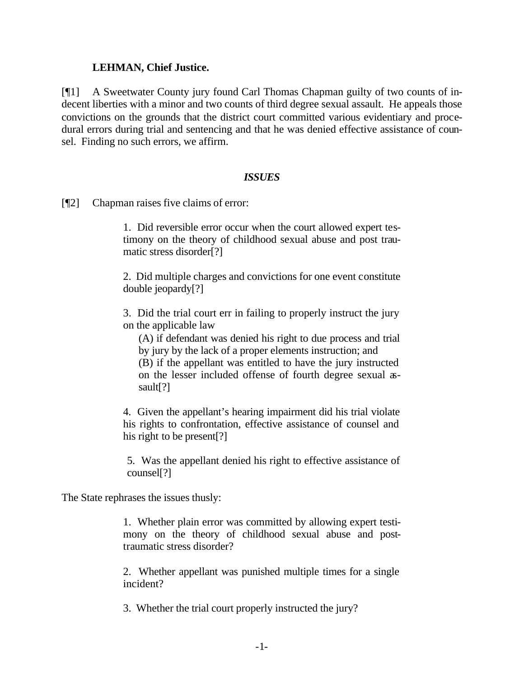### **LEHMAN, Chief Justice.**

[¶1] A Sweetwater County jury found Carl Thomas Chapman guilty of two counts of indecent liberties with a minor and two counts of third degree sexual assault. He appeals those convictions on the grounds that the district court committed various evidentiary and procedural errors during trial and sentencing and that he was denied effective assistance of counsel. Finding no such errors, we affirm.

### *ISSUES*

[¶2] Chapman raises five claims of error:

1. Did reversible error occur when the court allowed expert testimony on the theory of childhood sexual abuse and post traumatic stress disorder[?]

2. Did multiple charges and convictions for one event constitute double jeopardy[?]

3. Did the trial court err in failing to properly instruct the jury on the applicable law

(A) if defendant was denied his right to due process and trial by jury by the lack of a proper elements instruction; and

(B) if the appellant was entitled to have the jury instructed on the lesser included offense of fourth degree sexual assault[?]

4. Given the appellant's hearing impairment did his trial violate his rights to confrontation, effective assistance of counsel and his right to be present[?]

5. Was the appellant denied his right to effective assistance of counsel[?]

The State rephrases the issues thusly:

1. Whether plain error was committed by allowing expert testimony on the theory of childhood sexual abuse and posttraumatic stress disorder?

2. Whether appellant was punished multiple times for a single incident?

3. Whether the trial court properly instructed the jury?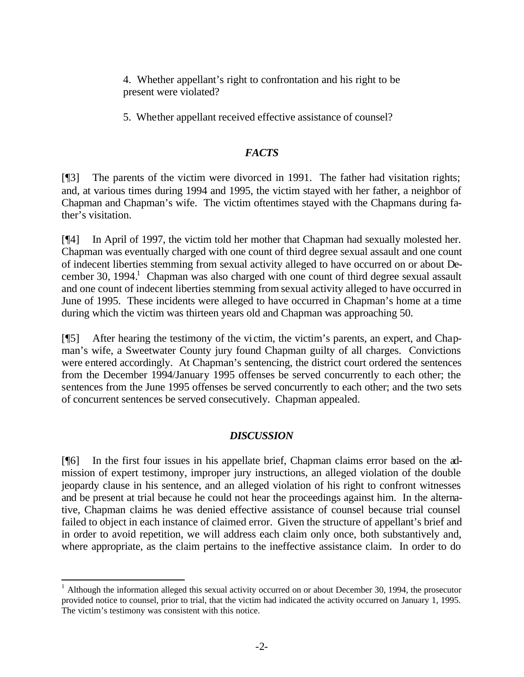4. Whether appellant's right to confrontation and his right to be present were violated?

5. Whether appellant received effective assistance of counsel?

### *FACTS*

[¶3] The parents of the victim were divorced in 1991. The father had visitation rights; and, at various times during 1994 and 1995, the victim stayed with her father, a neighbor of Chapman and Chapman's wife. The victim oftentimes stayed with the Chapmans during father's visitation.

[¶4] In April of 1997, the victim told her mother that Chapman had sexually molested her. Chapman was eventually charged with one count of third degree sexual assault and one count of indecent liberties stemming from sexual activity alleged to have occurred on or about December 30, 1994.<sup>1</sup> Chapman was also charged with one count of third degree sexual assault and one count of indecent liberties stemming from sexual activity alleged to have occurred in June of 1995. These incidents were alleged to have occurred in Chapman's home at a time during which the victim was thirteen years old and Chapman was approaching 50.

[¶5] After hearing the testimony of the victim, the victim's parents, an expert, and Chapman's wife, a Sweetwater County jury found Chapman guilty of all charges. Convictions were entered accordingly. At Chapman's sentencing, the district court ordered the sentences from the December 1994/January 1995 offenses be served concurrently to each other; the sentences from the June 1995 offenses be served concurrently to each other; and the two sets of concurrent sentences be served consecutively. Chapman appealed.

## *DISCUSSION*

[¶6] In the first four issues in his appellate brief, Chapman claims error based on the admission of expert testimony, improper jury instructions, an alleged violation of the double jeopardy clause in his sentence, and an alleged violation of his right to confront witnesses and be present at trial because he could not hear the proceedings against him. In the alternative, Chapman claims he was denied effective assistance of counsel because trial counsel failed to object in each instance of claimed error. Given the structure of appellant's brief and in order to avoid repetition, we will address each claim only once, both substantively and, where appropriate, as the claim pertains to the ineffective assistance claim. In order to do

l

 $1$  Although the information alleged this sexual activity occurred on or about December 30, 1994, the prosecutor provided notice to counsel, prior to trial, that the victim had indicated the activity occurred on January 1, 1995. The victim's testimony was consistent with this notice.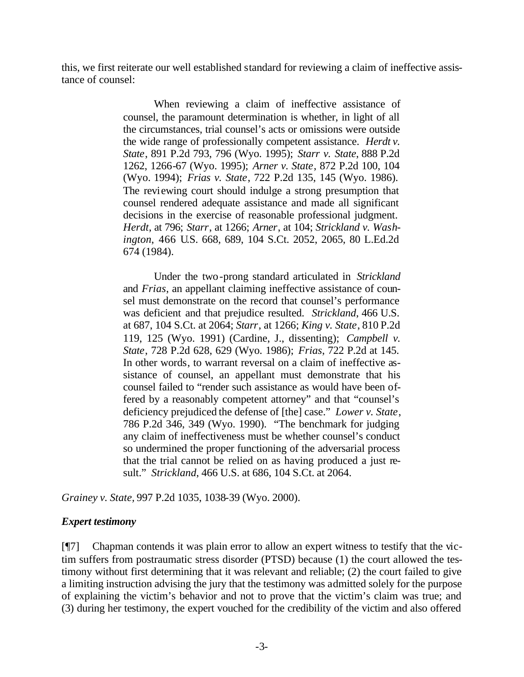this, we first reiterate our well established standard for reviewing a claim of ineffective assistance of counsel:

> When reviewing a claim of ineffective assistance of counsel, the paramount determination is whether, in light of all the circumstances, trial counsel's acts or omissions were outside the wide range of professionally competent assistance. *Herdt v. State*, 891 P.2d 793, 796 (Wyo. 1995); *Starr v. State*, 888 P.2d 1262, 1266-67 (Wyo. 1995); *Arner v. State*, 872 P.2d 100, 104 (Wyo. 1994); *Frias v. State*, 722 P.2d 135, 145 (Wyo. 1986). The reviewing court should indulge a strong presumption that counsel rendered adequate assistance and made all significant decisions in the exercise of reasonable professional judgment. *Herdt*, at 796; *Starr*, at 1266; *Arner*, at 104; *Strickland v. Washington*, 466 U.S. 668, 689, 104 S.Ct. 2052, 2065, 80 L.Ed.2d 674 (1984).

> Under the two-prong standard articulated in *Strickland* and *Frias*, an appellant claiming ineffective assistance of counsel must demonstrate on the record that counsel's performance was deficient and that prejudice resulted. *Strickland*, 466 U.S. at 687, 104 S.Ct. at 2064; *Starr*, at 1266; *King v. State*, 810 P.2d 119, 125 (Wyo. 1991) (Cardine, J., dissenting); *Campbell v. State*, 728 P.2d 628, 629 (Wyo. 1986); *Frias*, 722 P.2d at 145. In other words, to warrant reversal on a claim of ineffective assistance of counsel, an appellant must demonstrate that his counsel failed to "render such assistance as would have been offered by a reasonably competent attorney" and that "counsel's deficiency prejudiced the defense of [the] case." *Lower v. State*, 786 P.2d 346, 349 (Wyo. 1990). "The benchmark for judging any claim of ineffectiveness must be whether counsel's conduct so undermined the proper functioning of the adversarial process that the trial cannot be relied on as having produced a just result." *Strickland*, 466 U.S. at 686, 104 S.Ct. at 2064.

*Grainey v. State,* 997 P.2d 1035, 1038-39 (Wyo. 2000).

## *Expert testimony*

[¶7] Chapman contends it was plain error to allow an expert witness to testify that the victim suffers from postraumatic stress disorder (PTSD) because (1) the court allowed the testimony without first determining that it was relevant and reliable; (2) the court failed to give a limiting instruction advising the jury that the testimony was admitted solely for the purpose of explaining the victim's behavior and not to prove that the victim's claim was true; and (3) during her testimony, the expert vouched for the credibility of the victim and also offered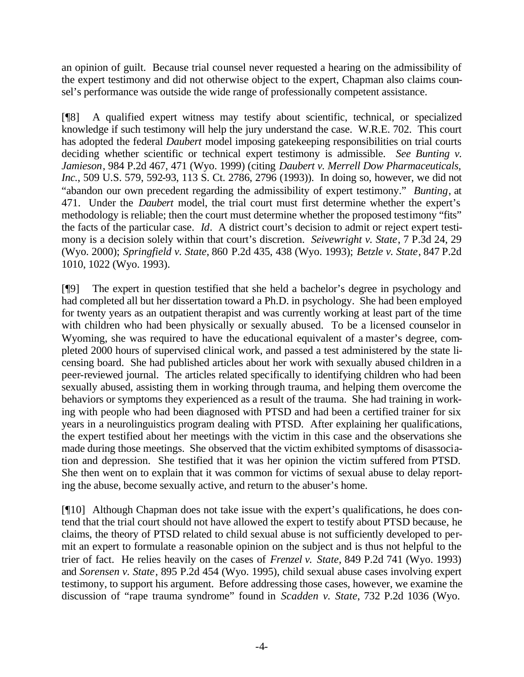an opinion of guilt. Because trial counsel never requested a hearing on the admissibility of the expert testimony and did not otherwise object to the expert, Chapman also claims counsel's performance was outside the wide range of professionally competent assistance.

[¶8] A qualified expert witness may testify about scientific, technical, or specialized knowledge if such testimony will help the jury understand the case. W.R.E. 702. This court has adopted the federal *Daubert* model imposing gatekeeping responsibilities on trial courts deciding whether scientific or technical expert testimony is admissible. *See Bunting v. Jamieson*, 984 P.2d 467, 471 (Wyo. 1999) (citing *Daubert v. Merrell Dow Pharmaceuticals, Inc.*, 509 U.S. 579, 592-93, 113 S. Ct. 2786, 2796 (1993)). In doing so, however, we did not "abandon our own precedent regarding the admissibility of expert testimony." *Bunting*, at 471. Under the *Daubert* model, the trial court must first determine whether the expert's methodology is reliable; then the court must determine whether the proposed testimony "fits" the facts of the particular case. *Id*. A district court's decision to admit or reject expert testimony is a decision solely within that court's discretion. *Seivewright v. State*, 7 P.3d 24, 29 (Wyo. 2000); *Springfield v. State*, 860 P.2d 435, 438 (Wyo. 1993); *Betzle v. State*, 847 P.2d 1010, 1022 (Wyo. 1993).

[¶9] The expert in question testified that she held a bachelor's degree in psychology and had completed all but her dissertation toward a Ph.D. in psychology. She had been employed for twenty years as an outpatient therapist and was currently working at least part of the time with children who had been physically or sexually abused. To be a licensed counselor in Wyoming, she was required to have the educational equivalent of a master's degree, completed 2000 hours of supervised clinical work, and passed a test administered by the state licensing board. She had published articles about her work with sexually abused children in a peer-reviewed journal. The articles related specifically to identifying children who had been sexually abused, assisting them in working through trauma, and helping them overcome the behaviors or symptoms they experienced as a result of the trauma. She had training in working with people who had been diagnosed with PTSD and had been a certified trainer for six years in a neurolinguistics program dealing with PTSD. After explaining her qualifications, the expert testified about her meetings with the victim in this case and the observations she made during those meetings. She observed that the victim exhibited symptoms of disassociation and depression. She testified that it was her opinion the victim suffered from PTSD. She then went on to explain that it was common for victims of sexual abuse to delay reporting the abuse, become sexually active, and return to the abuser's home.

[¶10] Although Chapman does not take issue with the expert's qualifications, he does contend that the trial court should not have allowed the expert to testify about PTSD because, he claims, the theory of PTSD related to child sexual abuse is not sufficiently developed to permit an expert to formulate a reasonable opinion on the subject and is thus not helpful to the trier of fact. He relies heavily on the cases of *Frenzel v. State*, 849 P.2d 741 (Wyo. 1993) and *Sorensen v. State*, 895 P.2d 454 (Wyo. 1995), child sexual abuse cases involving expert testimony, to support his argument. Before addressing those cases, however, we examine the discussion of "rape trauma syndrome" found in *Scadden v. State*, 732 P.2d 1036 (Wyo.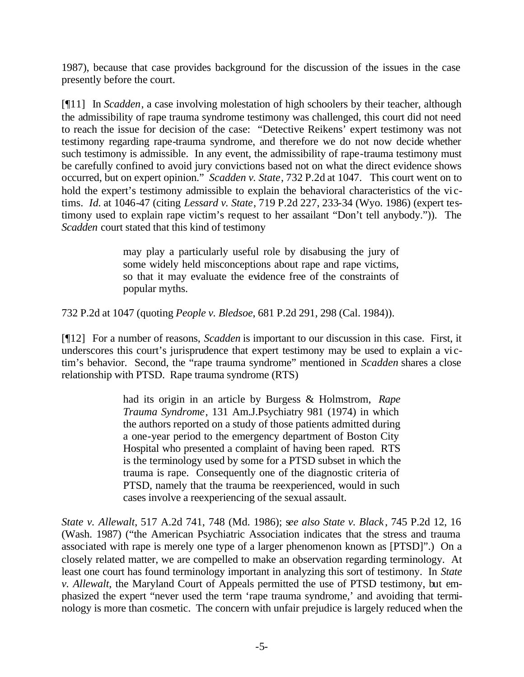1987), because that case provides background for the discussion of the issues in the case presently before the court.

[¶11] In *Scadden*, a case involving molestation of high schoolers by their teacher, although the admissibility of rape trauma syndrome testimony was challenged, this court did not need to reach the issue for decision of the case: "Detective Reikens' expert testimony was not testimony regarding rape-trauma syndrome, and therefore we do not now decide whether such testimony is admissible. In any event, the admissibility of rape-trauma testimony must be carefully confined to avoid jury convictions based not on what the direct evidence shows occurred, but on expert opinion." *Scadden v. State*, 732 P.2d at 1047. This court went on to hold the expert's testimony admissible to explain the behavioral characteristics of the victims. *Id.* at 1046-47 (citing *Lessard v. State*, 719 P.2d 227, 233-34 (Wyo. 1986) (expert testimony used to explain rape victim's request to her assailant "Don't tell anybody.")). The *Scadden* court stated that this kind of testimony

> may play a particularly useful role by disabusing the jury of some widely held misconceptions about rape and rape victims, so that it may evaluate the evidence free of the constraints of popular myths.

732 P.2d at 1047 (quoting *People v. Bledsoe*, 681 P.2d 291, 298 (Cal. 1984)).

[¶12] For a number of reasons, *Scadden* is important to our discussion in this case. First, it underscores this court's jurisprudence that expert testimony may be used to explain a victim's behavior. Second, the "rape trauma syndrome" mentioned in *Scadden* shares a close relationship with PTSD. Rape trauma syndrome (RTS)

> had its origin in an article by Burgess & Holmstrom, *Rape Trauma Syndrome*, 131 Am.J.Psychiatry 981 (1974) in which the authors reported on a study of those patients admitted during a one-year period to the emergency department of Boston City Hospital who presented a complaint of having been raped. RTS is the terminology used by some for a PTSD subset in which the trauma is rape. Consequently one of the diagnostic criteria of PTSD, namely that the trauma be reexperienced, would in such cases involve a reexperiencing of the sexual assault.

*State v. Allewalt*, 517 A.2d 741, 748 (Md. 1986); s*ee also State v. Black* , 745 P.2d 12, 16 (Wash. 1987) ("the American Psychiatric Association indicates that the stress and trauma associated with rape is merely one type of a larger phenomenon known as [PTSD]".) On a closely related matter, we are compelled to make an observation regarding terminology. At least one court has found terminology important in analyzing this sort of testimony. In *State v. Allewalt*, the Maryland Court of Appeals permitted the use of PTSD testimony, but emphasized the expert "never used the term 'rape trauma syndrome,' and avoiding that terminology is more than cosmetic. The concern with unfair prejudice is largely reduced when the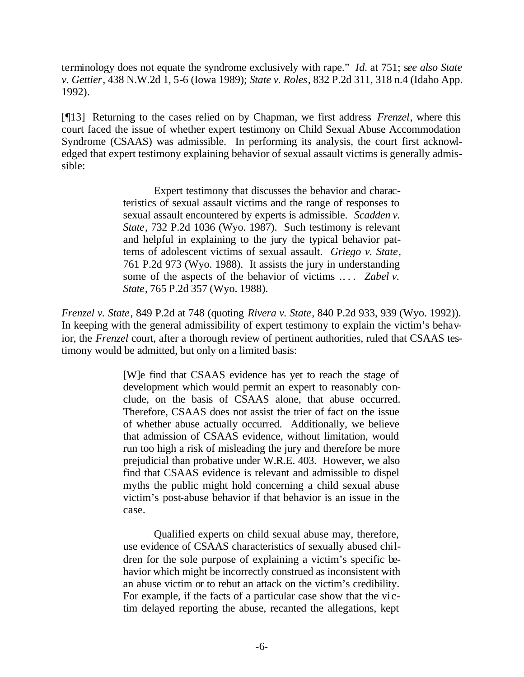terminology does not equate the syndrome exclusively with rape." *Id.* at 751; s*ee also State v. Gettier*, 438 N.W.2d 1, 5-6 (Iowa 1989); *State v. Roles*, 832 P.2d 311, 318 n.4 (Idaho App. 1992).

[¶13] Returning to the cases relied on by Chapman, we first address *Frenzel*, where this court faced the issue of whether expert testimony on Child Sexual Abuse Accommodation Syndrome (CSAAS) was admissible. In performing its analysis, the court first acknowledged that expert testimony explaining behavior of sexual assault victims is generally admissible:

> Expert testimony that discusses the behavior and characteristics of sexual assault victims and the range of responses to sexual assault encountered by experts is admissible. *Scadden v. State*, 732 P.2d 1036 (Wyo. 1987). Such testimony is relevant and helpful in explaining to the jury the typical behavior patterns of adolescent victims of sexual assault. *Griego v. State*, 761 P.2d 973 (Wyo. 1988). It assists the jury in understanding some of the aspects of the behavior of victims ... *Zabel v. State*, 765 P.2d 357 (Wyo. 1988).

*Frenzel v. State*, 849 P.2d at 748 (quoting *Rivera v. State*, 840 P.2d 933, 939 (Wyo. 1992)). In keeping with the general admissibility of expert testimony to explain the victim's behavior, the *Frenzel* court, after a thorough review of pertinent authorities, ruled that CSAAS testimony would be admitted, but only on a limited basis:

> [W]e find that CSAAS evidence has yet to reach the stage of development which would permit an expert to reasonably conclude, on the basis of CSAAS alone, that abuse occurred. Therefore, CSAAS does not assist the trier of fact on the issue of whether abuse actually occurred. Additionally, we believe that admission of CSAAS evidence, without limitation, would run too high a risk of misleading the jury and therefore be more prejudicial than probative under W.R.E. 403. However, we also find that CSAAS evidence is relevant and admissible to dispel myths the public might hold concerning a child sexual abuse victim's post-abuse behavior if that behavior is an issue in the case.

> Qualified experts on child sexual abuse may, therefore, use evidence of CSAAS characteristics of sexually abused children for the sole purpose of explaining a victim's specific behavior which might be incorrectly construed as inconsistent with an abuse victim or to rebut an attack on the victim's credibility. For example, if the facts of a particular case show that the victim delayed reporting the abuse, recanted the allegations, kept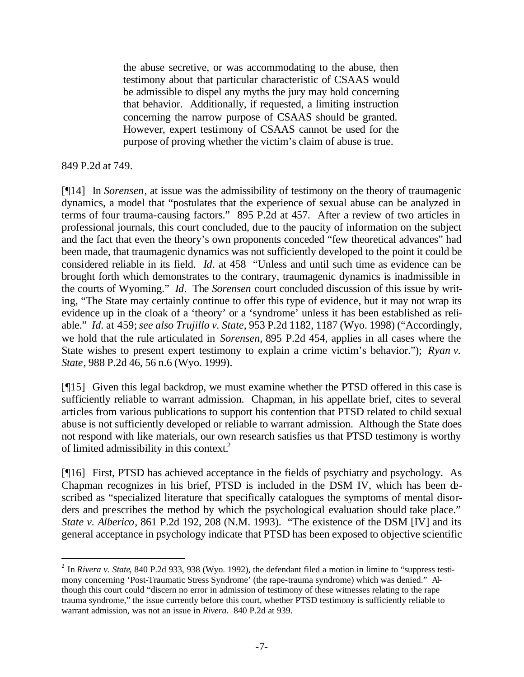the abuse secretive, or was accommodating to the abuse, then testimony about that particular characteristic of CSAAS would be admissible to dispel any myths the jury may hold concerning that behavior. Additionally, if requested, a limiting instruction concerning the narrow purpose of CSAAS should be granted. However, expert testimony of CSAAS cannot be used for the purpose of proving whether the victim's claim of abuse is true.

849 P.2d at 749.

l

[¶14] In *Sorensen*, at issue was the admissibility of testimony on the theory of traumagenic dynamics, a model that "postulates that the experience of sexual abuse can be analyzed in terms of four trauma-causing factors." 895 P.2d at 457. After a review of two articles in professional journals, this court concluded, due to the paucity of information on the subject and the fact that even the theory's own proponents conceded "few theoretical advances" had been made, that traumagenic dynamics was not sufficiently developed to the point it could be considered reliable in its field. *Id*. at 458 "Unless and until such time as evidence can be brought forth which demonstrates to the contrary, traumagenic dynamics is inadmissible in the courts of Wyoming." *Id*. The *Sorensen* court concluded discussion of this issue by writing, "The State may certainly continue to offer this type of evidence, but it may not wrap its evidence up in the cloak of a 'theory' or a 'syndrome' unless it has been established as reliable." *Id.* at 459; *see also Trujillo v. State*, 953 P.2d 1182, 1187 (Wyo. 1998) ("Accordingly, we hold that the rule articulated in *Sorensen*, 895 P.2d 454, applies in all cases where the State wishes to present expert testimony to explain a crime victim's behavior."); *Ryan v. State*, 988 P.2d 46, 56 n.6 (Wyo. 1999).

[¶15] Given this legal backdrop, we must examine whether the PTSD offered in this case is sufficiently reliable to warrant admission. Chapman, in his appellate brief, cites to several articles from various publications to support his contention that PTSD related to child sexual abuse is not sufficiently developed or reliable to warrant admission. Although the State does not respond with like materials, our own research satisfies us that PTSD testimony is worthy of limited admissibility in this context.<sup>2</sup>

[¶16] First, PTSD has achieved acceptance in the fields of psychiatry and psychology. As Chapman recognizes in his brief, PTSD is included in the DSM IV, which has been described as "specialized literature that specifically catalogues the symptoms of mental disorders and prescribes the method by which the psychological evaluation should take place." *State v. Alberico*, 861 P.2d 192, 208 (N.M. 1993). "The existence of the DSM [IV] and its general acceptance in psychology indicate that PTSD has been exposed to objective scientific

<sup>2</sup> In *Rivera v. State*, 840 P.2d 933, 938 (Wyo. 1992), the defendant filed a motion in limine to "suppress testimony concerning 'Post-Traumatic Stress Syndrome' (the rape-trauma syndrome) which was denied." Although this court could "discern no error in admission of testimony of these witnesses relating to the rape trauma syndrome," the issue currently before this court, whether PTSD testimony is sufficiently reliable to warrant admission, was not an issue in *Rivera*. 840 P.2d at 939.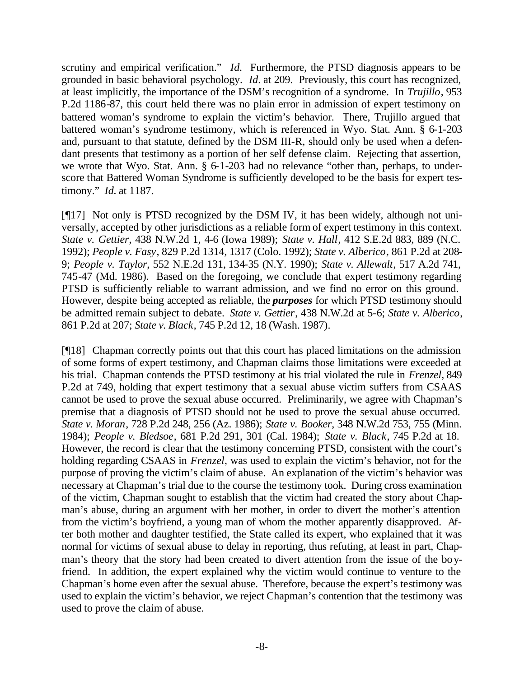scrutiny and empirical verification." *Id.* Furthermore, the PTSD diagnosis appears to be grounded in basic behavioral psychology. *Id.* at 209. Previously, this court has recognized, at least implicitly, the importance of the DSM's recognition of a syndrome. In *Trujillo*, 953 P.2d 1186-87, this court held there was no plain error in admission of expert testimony on battered woman's syndrome to explain the victim's behavior. There, Trujillo argued that battered woman's syndrome testimony, which is referenced in Wyo. Stat. Ann. § 6-1-203 and, pursuant to that statute, defined by the DSM III-R, should only be used when a defendant presents that testimony as a portion of her self defense claim. Rejecting that assertion, we wrote that Wyo. Stat. Ann. § 6-1-203 had no relevance "other than, perhaps, to underscore that Battered Woman Syndrome is sufficiently developed to be the basis for expert testimony." *Id.* at 1187.

[¶17] Not only is PTSD recognized by the DSM IV, it has been widely, although not universally, accepted by other jurisdictions as a reliable form of expert testimony in this context. *State v. Gettier*, 438 N.W.2d 1, 4-6 (Iowa 1989); *State v. Hall*, 412 S.E.2d 883, 889 (N.C. 1992); *People v. Fasy*, 829 P.2d 1314, 1317 (Colo. 1992); *State v. Alberico*, 861 P.2d at 208- 9; *People v. Taylor*, 552 N.E.2d 131, 134-35 (N.Y. 1990); *State v. Allewalt*, 517 A.2d 741, 745-47 (Md. 1986). Based on the foregoing, we conclude that expert testimony regarding PTSD is sufficiently reliable to warrant admission, and we find no error on this ground. However, despite being accepted as reliable, the *purposes* for which PTSD testimony should be admitted remain subject to debate. *State v. Gettier*, 438 N.W.2d at 5-6; *State v. Alberico*, 861 P.2d at 207; *State v. Black*, 745 P.2d 12, 18 (Wash. 1987).

[¶18] Chapman correctly points out that this court has placed limitations on the admission of some forms of expert testimony, and Chapman claims those limitations were exceeded at his trial. Chapman contends the PTSD testimony at his trial violated the rule in *Frenzel*, 849 P.2d at 749, holding that expert testimony that a sexual abuse victim suffers from CSAAS cannot be used to prove the sexual abuse occurred. Preliminarily, we agree with Chapman's premise that a diagnosis of PTSD should not be used to prove the sexual abuse occurred. *State v. Moran*, 728 P.2d 248, 256 (Az. 1986); *State v. Booker*, 348 N.W.2d 753, 755 (Minn. 1984); *People v. Bledsoe*, 681 P.2d 291, 301 (Cal. 1984); *State v. Black*, 745 P.2d at 18. However, the record is clear that the testimony concerning PTSD, consistent with the court's holding regarding CSAAS in *Frenzel*, was used to explain the victim's behavior, not for the purpose of proving the victim's claim of abuse. An explanation of the victim's behavior was necessary at Chapman's trial due to the course the testimony took. During cross examination of the victim, Chapman sought to establish that the victim had created the story about Chapman's abuse, during an argument with her mother, in order to divert the mother's attention from the victim's boyfriend, a young man of whom the mother apparently disapproved. After both mother and daughter testified, the State called its expert, who explained that it was normal for victims of sexual abuse to delay in reporting, thus refuting, at least in part, Chapman's theory that the story had been created to divert attention from the issue of the boyfriend. In addition, the expert explained why the victim would continue to venture to the Chapman's home even after the sexual abuse. Therefore, because the expert's testimony was used to explain the victim's behavior, we reject Chapman's contention that the testimony was used to prove the claim of abuse.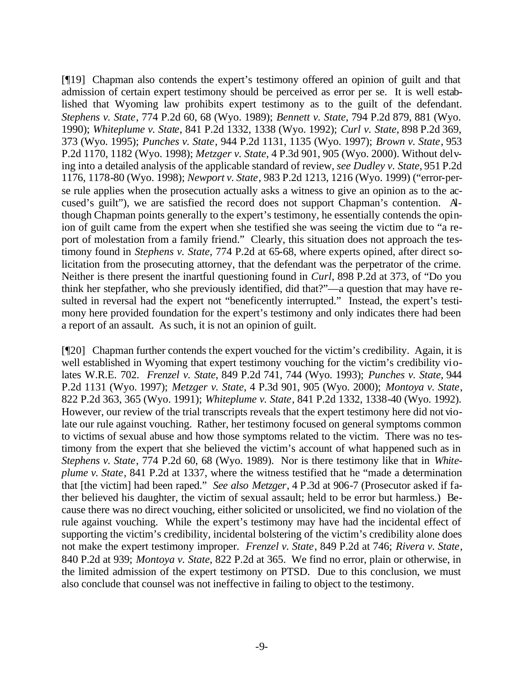[¶19] Chapman also contends the expert's testimony offered an opinion of guilt and that admission of certain expert testimony should be perceived as error per se. It is well established that Wyoming law prohibits expert testimony as to the guilt of the defendant. *Stephens v. State*, 774 P.2d 60, 68 (Wyo. 1989); *Bennett v. State*, 794 P.2d 879, 881 (Wyo. 1990); *Whiteplume v. State*, 841 P.2d 1332, 1338 (Wyo. 1992); *Curl v. State*, 898 P.2d 369, 373 (Wyo. 1995); *Punches v. State*, 944 P.2d 1131, 1135 (Wyo. 1997); *Brown v. State*, 953 P.2d 1170, 1182 (Wyo. 1998); *Metzger v. State*, 4 P.3d 901, 905 (Wyo. 2000). Without delving into a detailed analysis of the applicable standard of review, *see Dudley v. State*, 951 P.2d 1176, 1178-80 (Wyo. 1998); *Newport v. State*, 983 P.2d 1213, 1216 (Wyo. 1999) ("error-perse rule applies when the prosecution actually asks a witness to give an opinion as to the accused's guilt"), we are satisfied the record does not support Chapman's contention. Although Chapman points generally to the expert's testimony, he essentially contends the opinion of guilt came from the expert when she testified she was seeing the victim due to "a report of molestation from a family friend." Clearly, this situation does not approach the testimony found in *Stephens v. State*, 774 P.2d at 65-68, where experts opined, after direct solicitation from the prosecuting attorney, that the defendant was the perpetrator of the crime. Neither is there present the inartful questioning found in *Curl*, 898 P.2d at 373, of "Do you think her stepfather, who she previously identified, did that?"—a question that may have resulted in reversal had the expert not "beneficently interrupted." Instead, the expert's testimony here provided foundation for the expert's testimony and only indicates there had been a report of an assault. As such, it is not an opinion of guilt.

[¶20] Chapman further contends the expert vouched for the victim's credibility. Again, it is well established in Wyoming that expert testimony vouching for the victim's credibility violates W.R.E. 702. *Frenzel v. State*, 849 P.2d 741, 744 (Wyo. 1993); *Punches v. State*, 944 P.2d 1131 (Wyo. 1997); *Metzger v. State*, 4 P.3d 901, 905 (Wyo. 2000); *Montoya v. State*, 822 P.2d 363, 365 (Wyo. 1991); *Whiteplume v. State*, 841 P.2d 1332, 1338-40 (Wyo. 1992). However, our review of the trial transcripts reveals that the expert testimony here did not violate our rule against vouching. Rather, her testimony focused on general symptoms common to victims of sexual abuse and how those symptoms related to the victim. There was no testimony from the expert that she believed the victim's account of what happened such as in *Stephens v. State*, 774 P.2d 60, 68 (Wyo. 1989). Nor is there testimony like that in *Whiteplume v. State*, 841 P.2d at 1337, where the witness testified that he "made a determination that [the victim] had been raped." *See also Metzger*, 4 P.3d at 906-7 (Prosecutor asked if father believed his daughter, the victim of sexual assault; held to be error but harmless.) Because there was no direct vouching, either solicited or unsolicited, we find no violation of the rule against vouching. While the expert's testimony may have had the incidental effect of supporting the victim's credibility, incidental bolstering of the victim's credibility alone does not make the expert testimony improper. *Frenzel v. State*, 849 P.2d at 746; *Rivera v. State*, 840 P.2d at 939; *Montoya v. State*, 822 P.2d at 365. We find no error, plain or otherwise, in the limited admission of the expert testimony on PTSD. Due to this conclusion, we must also conclude that counsel was not ineffective in failing to object to the testimony.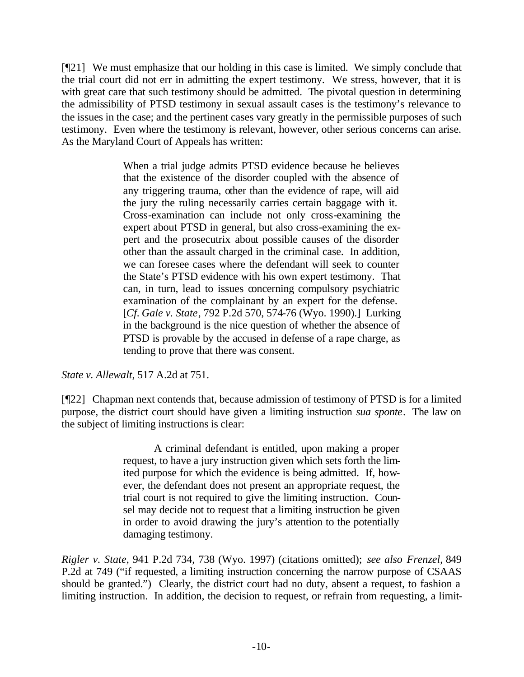[¶21] We must emphasize that our holding in this case is limited. We simply conclude that the trial court did not err in admitting the expert testimony. We stress, however, that it is with great care that such testimony should be admitted. The pivotal question in determining the admissibility of PTSD testimony in sexual assault cases is the testimony's relevance to the issues in the case; and the pertinent cases vary greatly in the permissible purposes of such testimony. Even where the testimony is relevant, however, other serious concerns can arise. As the Maryland Court of Appeals has written:

> When a trial judge admits PTSD evidence because he believes that the existence of the disorder coupled with the absence of any triggering trauma, other than the evidence of rape, will aid the jury the ruling necessarily carries certain baggage with it. Cross-examination can include not only cross-examining the expert about PTSD in general, but also cross-examining the expert and the prosecutrix about possible causes of the disorder other than the assault charged in the criminal case. In addition, we can foresee cases where the defendant will seek to counter the State's PTSD evidence with his own expert testimony. That can, in turn, lead to issues concerning compulsory psychiatric examination of the complainant by an expert for the defense. [*Cf. Gale v. State*, 792 P.2d 570, 574-76 (Wyo. 1990).] Lurking in the background is the nice question of whether the absence of PTSD is provable by the accused in defense of a rape charge, as tending to prove that there was consent.

*State v. Allewalt*, 517 A.2d at 751.

[¶22] Chapman next contends that, because admission of testimony of PTSD is for a limited purpose, the district court should have given a limiting instruction *sua sponte*. The law on the subject of limiting instructions is clear:

> A criminal defendant is entitled, upon making a proper request, to have a jury instruction given which sets forth the limited purpose for which the evidence is being admitted. If, however, the defendant does not present an appropriate request, the trial court is not required to give the limiting instruction. Counsel may decide not to request that a limiting instruction be given in order to avoid drawing the jury's attention to the potentially damaging testimony.

*Rigler v. State*, 941 P.2d 734, 738 (Wyo. 1997) (citations omitted); *see also Frenzel*, 849 P.2d at 749 ("if requested, a limiting instruction concerning the narrow purpose of CSAAS should be granted.") Clearly, the district court had no duty, absent a request, to fashion a limiting instruction. In addition, the decision to request, or refrain from requesting, a limit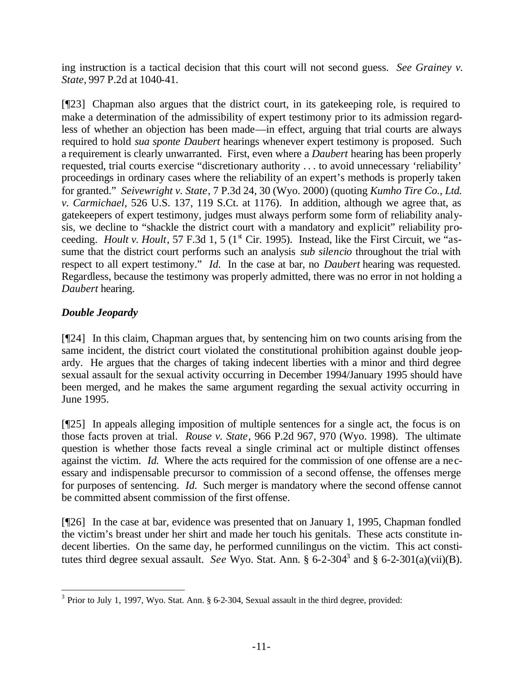ing instruction is a tactical decision that this court will not second guess. *See Grainey v. State,* 997 P.2d at 1040-41.

[¶23] Chapman also argues that the district court, in its gatekeeping role, is required to make a determination of the admissibility of expert testimony prior to its admission regardless of whether an objection has been made—in effect, arguing that trial courts are always required to hold *sua sponte Daubert* hearings whenever expert testimony is proposed. Such a requirement is clearly unwarranted. First, even where a *Daubert* hearing has been properly requested, trial courts exercise "discretionary authority . . . to avoid unnecessary 'reliability' proceedings in ordinary cases where the reliability of an expert's methods is properly taken for granted." *Seivewright v. State*, 7 P.3d 24, 30 (Wyo. 2000) (quoting *Kumho Tire Co., Ltd. v. Carmichael*, 526 U.S. 137, 119 S.Ct. at 1176). In addition, although we agree that, as gatekeepers of expert testimony, judges must always perform some form of reliability analysis, we decline to "shackle the district court with a mandatory and explicit" reliability proceeding. *Hoult v. Hoult*, 57 F.3d 1, 5 (1<sup>st</sup> Cir. 1995). Instead, like the First Circuit, we "assume that the district court performs such an analysis *sub silencio* throughout the trial with respect to all expert testimony." *Id.* In the case at bar, no *Daubert* hearing was requested. Regardless, because the testimony was properly admitted, there was no error in not holding a *Daubert* hearing.

# *Double Jeopardy*

[¶24] In this claim, Chapman argues that, by sentencing him on two counts arising from the same incident, the district court violated the constitutional prohibition against double jeopardy. He argues that the charges of taking indecent liberties with a minor and third degree sexual assault for the sexual activity occurring in December 1994/January 1995 should have been merged, and he makes the same argument regarding the sexual activity occurring in June 1995.

[¶25] In appeals alleging imposition of multiple sentences for a single act, the focus is on those facts proven at trial. *Rouse v. State*, 966 P.2d 967, 970 (Wyo. 1998). The ultimate question is whether those facts reveal a single criminal act or multiple distinct offenses against the victim. *Id.* Where the acts required for the commission of one offense are a necessary and indispensable precursor to commission of a second offense, the offenses merge for purposes of sentencing. *Id.* Such merger is mandatory where the second offense cannot be committed absent commission of the first offense.

[¶26] In the case at bar, evidence was presented that on January 1, 1995, Chapman fondled the victim's breast under her shirt and made her touch his genitals. These acts constitute indecent liberties. On the same day, he performed cunnilingus on the victim. This act constitutes third degree sexual assault. *See* Wyo. Stat. Ann.  $\S 6$ -2-304<sup>3</sup> and  $\S 6$ -2-301(a)(vii)(B).

<sup>&</sup>lt;sup>3</sup> Prior to July 1, 1997, Wyo. Stat. Ann. § 6-2-304, Sexual assault in the third degree, provided: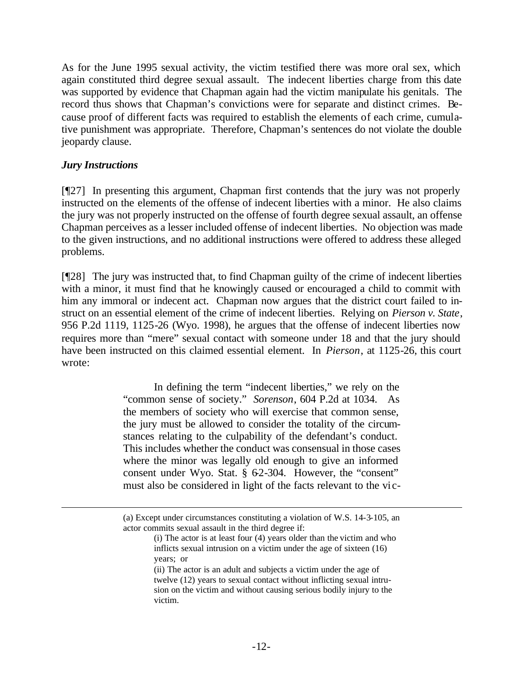As for the June 1995 sexual activity, the victim testified there was more oral sex, which again constituted third degree sexual assault. The indecent liberties charge from this date was supported by evidence that Chapman again had the victim manipulate his genitals. The record thus shows that Chapman's convictions were for separate and distinct crimes. Because proof of different facts was required to establish the elements of each crime, cumulative punishment was appropriate. Therefore, Chapman's sentences do not violate the double jeopardy clause.

### *Jury Instructions*

l

[¶27] In presenting this argument, Chapman first contends that the jury was not properly instructed on the elements of the offense of indecent liberties with a minor. He also claims the jury was not properly instructed on the offense of fourth degree sexual assault, an offense Chapman perceives as a lesser included offense of indecent liberties. No objection was made to the given instructions, and no additional instructions were offered to address these alleged problems.

[¶28] The jury was instructed that, to find Chapman guilty of the crime of indecent liberties with a minor, it must find that he knowingly caused or encouraged a child to commit with him any immoral or indecent act. Chapman now argues that the district court failed to instruct on an essential element of the crime of indecent liberties. Relying on *Pierson v. State*, 956 P.2d 1119, 1125-26 (Wyo. 1998), he argues that the offense of indecent liberties now requires more than "mere" sexual contact with someone under 18 and that the jury should have been instructed on this claimed essential element. In *Pierson*, at 1125-26, this court wrote:

> In defining the term "indecent liberties," we rely on the "common sense of society." *Sorenson*, 604 P.2d at 1034. As the members of society who will exercise that common sense, the jury must be allowed to consider the totality of the circumstances relating to the culpability of the defendant's conduct. This includes whether the conduct was consensual in those cases where the minor was legally old enough to give an informed consent under Wyo. Stat. § 62-304. However, the "consent" must also be considered in light of the facts relevant to the vi c-

<sup>(</sup>a) Except under circumstances constituting a violation of W.S. 14-3-105, an actor commits sexual assault in the third degree if:

<sup>(</sup>i) The actor is at least four (4) years older than the victim and who inflicts sexual intrusion on a victim under the age of sixteen (16) years; or

<sup>(</sup>ii) The actor is an adult and subjects a victim under the age of twelve (12) years to sexual contact without inflicting sexual intrusion on the victim and without causing serious bodily injury to the victim.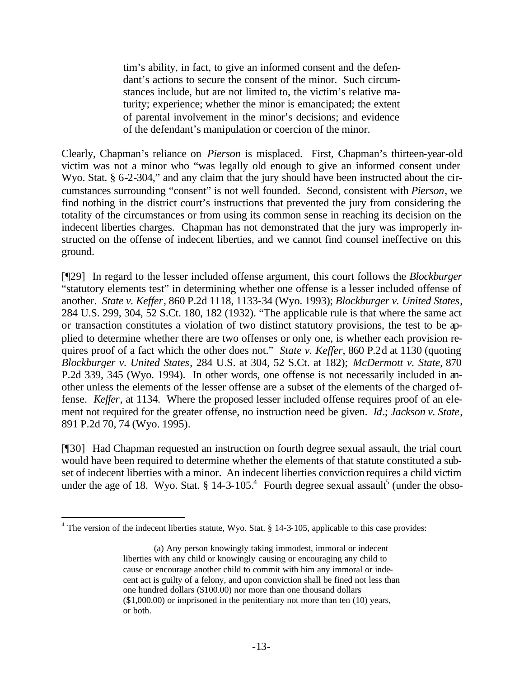tim's ability, in fact, to give an informed consent and the defendant's actions to secure the consent of the minor. Such circumstances include, but are not limited to, the victim's relative maturity; experience; whether the minor is emancipated; the extent of parental involvement in the minor's decisions; and evidence of the defendant's manipulation or coercion of the minor.

Clearly, Chapman's reliance on *Pierson* is misplaced. First, Chapman's thirteen-year-old victim was not a minor who "was legally old enough to give an informed consent under Wyo. Stat. § 6-2-304," and any claim that the jury should have been instructed about the circumstances surrounding "consent" is not well founded. Second, consistent with *Pierson*, we find nothing in the district court's instructions that prevented the jury from considering the totality of the circumstances or from using its common sense in reaching its decision on the indecent liberties charges. Chapman has not demonstrated that the jury was improperly instructed on the offense of indecent liberties, and we cannot find counsel ineffective on this ground.

[¶29] In regard to the lesser included offense argument, this court follows the *Blockburger* "statutory elements test" in determining whether one offense is a lesser included offense of another. *State v. Keffer*, 860 P.2d 1118, 1133-34 (Wyo. 1993); *Blockburger v. United States*, 284 U.S. 299, 304, 52 S.Ct. 180, 182 (1932). "The applicable rule is that where the same act or transaction constitutes a violation of two distinct statutory provisions, the test to be applied to determine whether there are two offenses or only one, is whether each provision requires proof of a fact which the other does not." *State v. Keffer*, 860 P.2d at 1130 (quoting *Blockburger v. United States*, 284 U.S. at 304, 52 S.Ct. at 182); *McDermott v. State*, 870 P.2d 339, 345 (Wyo. 1994). In other words, one offense is not necessarily included in another unless the elements of the lesser offense are a subset of the elements of the charged offense. *Keffer*, at 1134. Where the proposed lesser included offense requires proof of an element not required for the greater offense, no instruction need be given. *Id*.; *Jackson v. State*, 891 P.2d 70, 74 (Wyo. 1995).

[¶30] Had Chapman requested an instruction on fourth degree sexual assault, the trial court would have been required to determine whether the elements of that statute constituted a subset of indecent liberties with a minor. An indecent liberties conviction requires a child victim under the age of 18. Wyo. Stat. § 14-3-105.<sup>4</sup> Fourth degree sexual assault<sup>5</sup> (under the obso-

l

 $4$  The version of the indecent liberties statute, Wyo. Stat. § 14-3-105, applicable to this case provides:

<sup>(</sup>a) Any person knowingly taking immodest, immoral or indecent liberties with any child or knowingly causing or encouraging any child to cause or encourage another child to commit with him any immoral or indecent act is guilty of a felony, and upon conviction shall be fined not less than one hundred dollars (\$100.00) nor more than one thousand dollars (\$1,000.00) or imprisoned in the penitentiary not more than ten (10) years, or both.